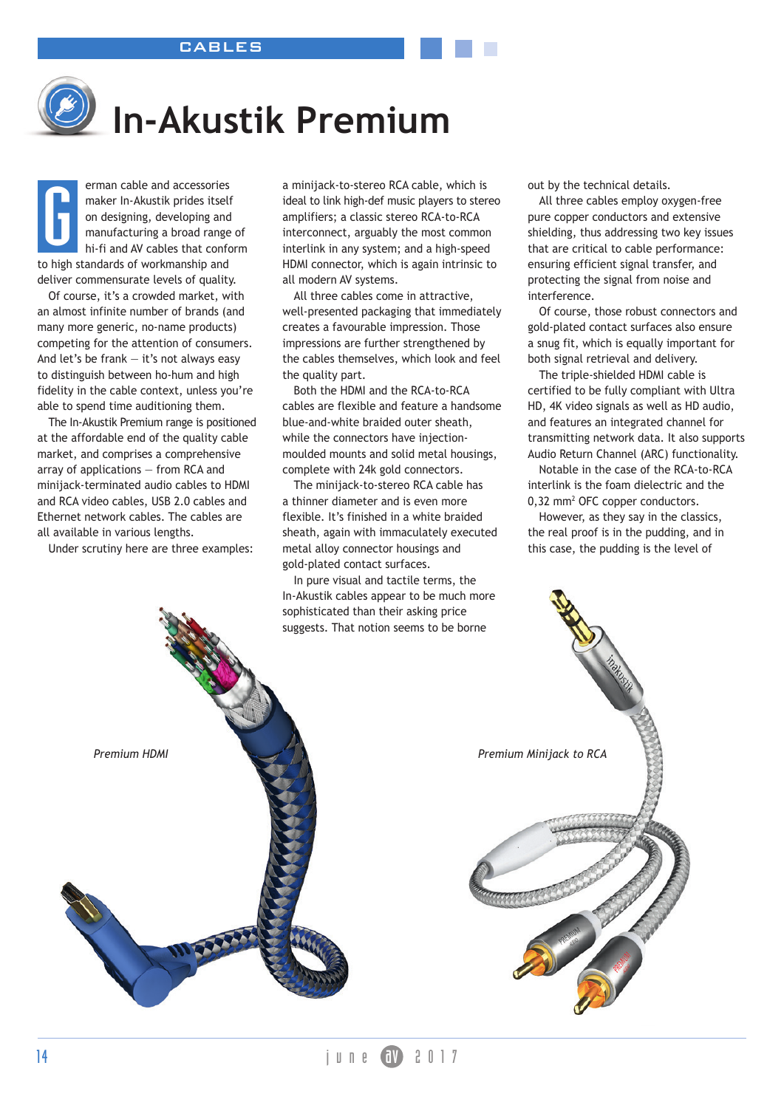# **In-Akustik Premium**

erman cable and accessories maker In-Akustik prides itself on designing, developing and manufacturing a broad range of hi-fi and AV cables that conform to high standards of workmanship and deliver commensurate levels of quality. G

Of course, it's a crowded market, with an almost infinite number of brands (and many more generic, no-name products) competing for the attention of consumers. And let's be frank  $-$  it's not always easy to distinguish between ho-hum and high fidelity in the cable context, unless you're able to spend time auditioning them.

The In-Akustik Premium range is positioned at the affordable end of the quality cable market, and comprises a comprehensive array of applications — from RCA and minijack-terminated audio cables to HDMI and RCA video cables, USB 2.0 cables and Ethernet network cables. The cables are all available in various lengths.

Under scrutiny here are three examples:

a minijack-to-stereo RCA cable, which is ideal to link high-def music players to stereo amplifiers; a classic stereo RCA-to-RCA interconnect, arguably the most common interlink in any system; and a high-speed HDMI connector, which is again intrinsic to all modern AV systems.

All three cables come in attractive, well-presented packaging that immediately creates a favourable impression. Those impressions are further strengthened by the cables themselves, which look and feel the quality part.

Both the HDMI and the RCA-to-RCA cables are flexible and feature a handsome blue-and-white braided outer sheath, while the connectors have injectionmoulded mounts and solid metal housings, complete with 24k gold connectors.

The minijack-to-stereo RCA cable has a thinner diameter and is even more flexible. It's finished in a white braided sheath, again with immaculately executed metal alloy connector housings and gold-plated contact surfaces.

In pure visual and tactile terms, the In-Akustik cables appear to be much more sophisticated than their asking price suggests. That notion seems to be borne

out by the technical details.

All three cables employ oxygen-free pure copper conductors and extensive shielding, thus addressing two key issues that are critical to cable performance: ensuring efficient signal transfer, and protecting the signal from noise and interference.

Of course, those robust connectors and gold-plated contact surfaces also ensure a snug fit, which is equally important for both signal retrieval and delivery.

The triple-shielded HDMI cable is certified to be fully compliant with Ultra HD, 4K video signals as well as HD audio, and features an integrated channel for transmitting network data. It also supports Audio Return Channel (ARC) functionality.

Notable in the case of the RCA-to-RCA interlink is the foam dielectric and the 0,32 mm<sup>2</sup> OFC copper conductors.

However, as they say in the classics, the real proof is in the pudding, and in this case, the pudding is the level of

*Premium HDMI Premium Minijack to RCA*